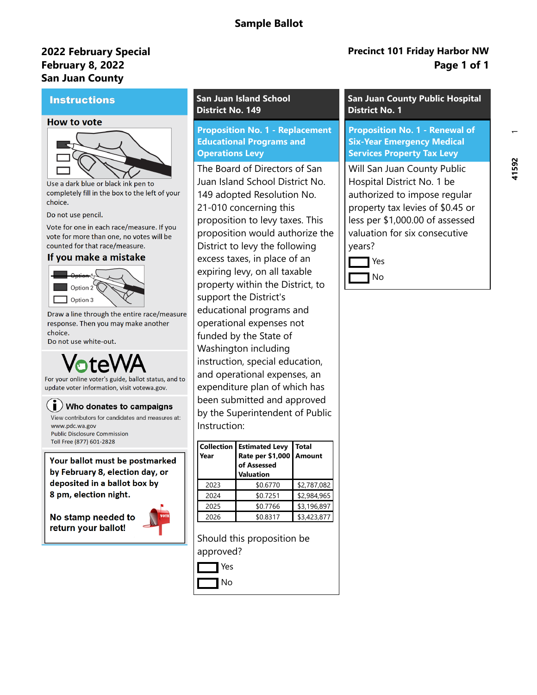# **Sample Ballot**

# **February 8, 2022 2022 February Special San Juan County**

### **Instructions**

### **How to vote**



Use a dark blue or black ink pen to completely fill in the box to the left of your choice.

Do not use pencil.

Vote for one in each race/measure. If you vote for more than one, no votes will be counted for that race/measure.

### If you make a mistake



Draw a line through the entire race/measure response. Then you may make another choice.

Do not use white-out.

For your online voter's guide, ballot status, and to update voter information, visit votewa.gov.

## $\left(\begin{array}{l}\mathbf{i}\end{array}\right)$  Who donates to campaigns

View contributors for candidates and measures at: www.pdc.wa.gov **Public Disclosure Commission** Toll Free (877) 601-2828

Your ballot must be postmarked by February 8, election day, or deposited in a ballot box by 8 pm, election night.

No stamp needed to return your ballot!



### **San Juan Island School District No. 149**

**Proposition No. 1 - Replacement Educational Programs and Operations Levy**

The Board of Directors of San Juan Island School District No. 149 adopted Resolution No. 21-010 concerning this proposition to levy taxes. This proposition would authorize the District to levy the following excess taxes, in place of an expiring levy, on all taxable property within the District, to support the District's educational programs and operational expenses not funded by the State of Washington including instruction, special education, and operational expenses, an expenditure plan of which has been submitted and approved by the Superintendent of Public Instruction:

| Year | <b>Collection   Estimated Levy</b><br>Rate per \$1,000   Amount<br>of Assessed<br><b>Valuation</b> | <b>Total</b> |
|------|----------------------------------------------------------------------------------------------------|--------------|
| 2023 | \$0.6770                                                                                           | \$2,787,082  |
| 2024 | \$0.7251                                                                                           | \$2,984,965  |
| 2025 | \$0.7766                                                                                           | \$3,196,897  |
| 2026 | \$0.8317                                                                                           | \$3,423,877  |

Should this proposition be approved?



# **Precinct 101 Friday Harbor NW Page 1 of 1**

## **San Juan County Public Hospital District No. 1**

**Proposition No. 1 - Renewal of Six-Year Emergency Medical Services Property Tax Levy**

Will San Juan County Public Hospital District No. 1 be authorized to impose regular property tax levies of \$0.45 or less per \$1,000.00 of assessed valuation for six consecutive years?

Yes No